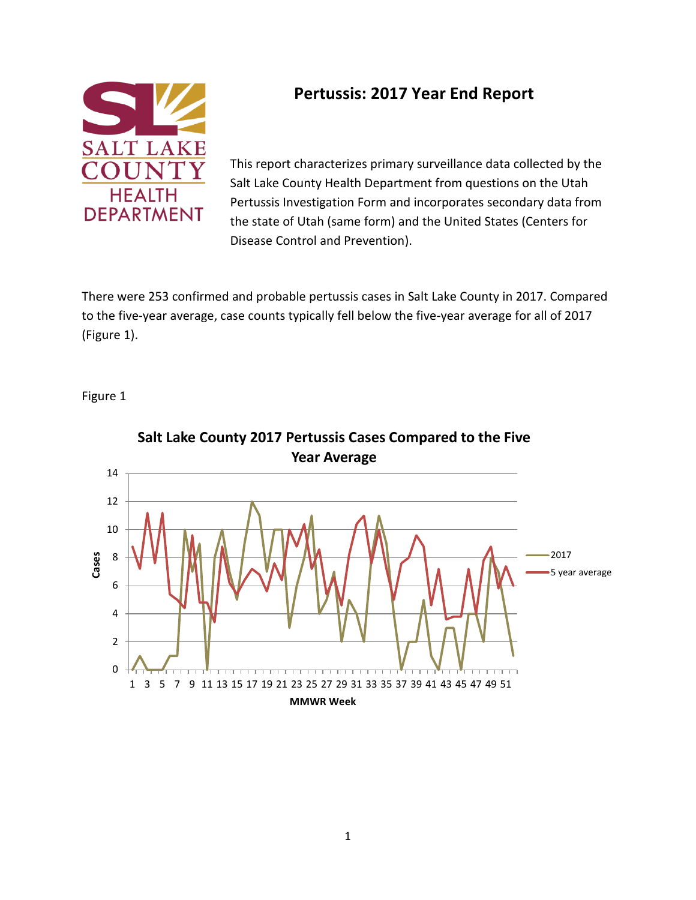

## **Pertussis: 2017 Year End Report**

This report characterizes primary surveillance data collected by the Salt Lake County Health Department from questions on the Utah Pertussis Investigation Form and incorporates secondary data from the state of Utah (same form) and the United States (Centers for Disease Control and Prevention).

There were 253 confirmed and probable pertussis cases in Salt Lake County in 2017. Compared to the five-year average, case counts typically fell below the five-year average for all of 2017 (Figure 1).

Figure 1



**Salt Lake County 2017 Pertussis Cases Compared to the Five**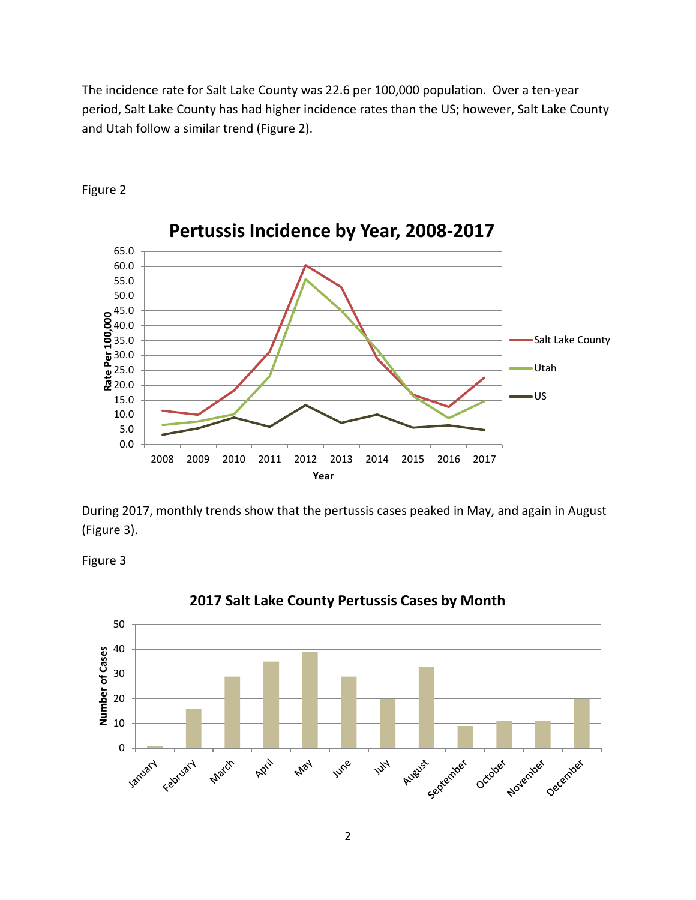The incidence rate for Salt Lake County was 22.6 per 100,000 population. Over a ten-year period, Salt Lake County has had higher incidence rates than the US; however, Salt Lake County and Utah follow a similar trend (Figure 2).



Figure 2

During 2017, monthly trends show that the pertussis cases peaked in May, and again in August (Figure 3).

Figure 3



#### **2017 Salt Lake County Pertussis Cases by Month**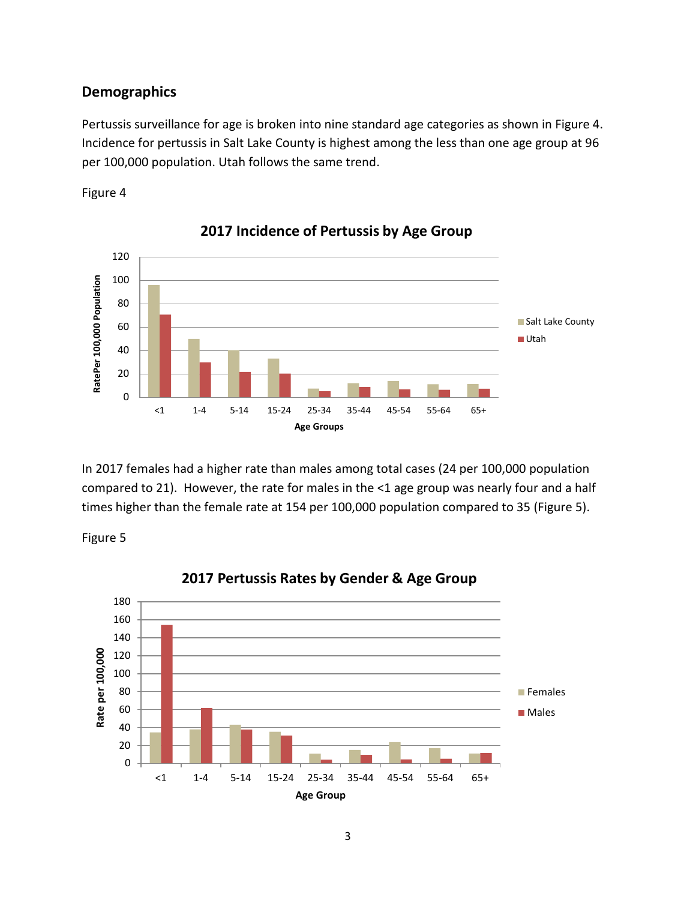#### **Demographics**

Pertussis surveillance for age is broken into nine standard age categories as shown in Figure 4. Incidence for pertussis in Salt Lake County is highest among the less than one age group at 96 per 100,000 population. Utah follows the same trend.





**2017 Incidence of Pertussis by Age Group**

In 2017 females had a higher rate than males among total cases (24 per 100,000 population compared to 21). However, the rate for males in the <1 age group was nearly four and a half times higher than the female rate at 154 per 100,000 population compared to 35 (Figure 5).

Figure 5



### **2017 Pertussis Rates by Gender & Age Group**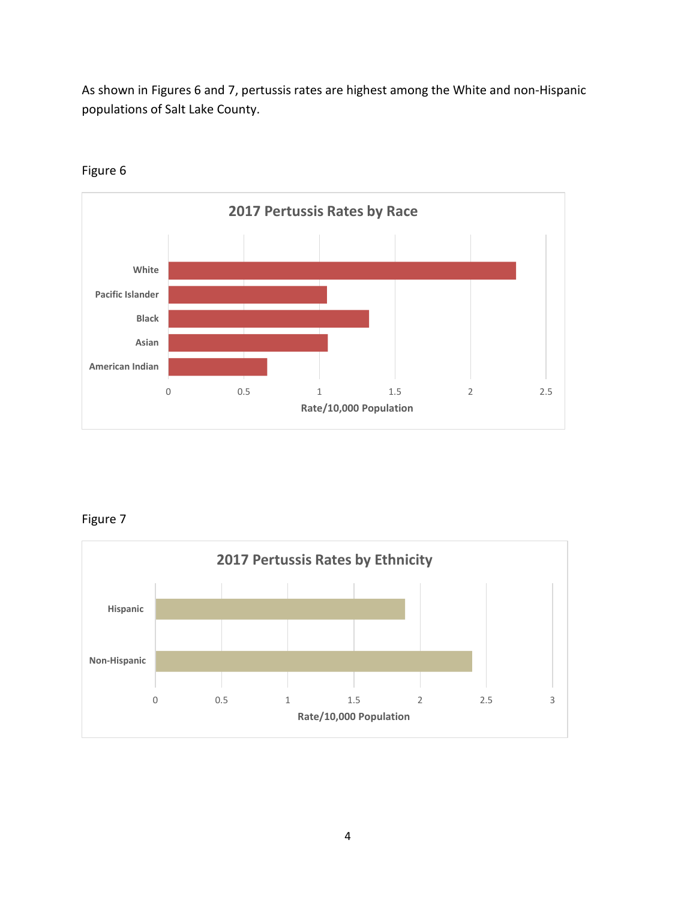As shown in Figures 6 and 7, pertussis rates are highest among the White and non-Hispanic populations of Salt Lake County.



Figure 6

Figure 7

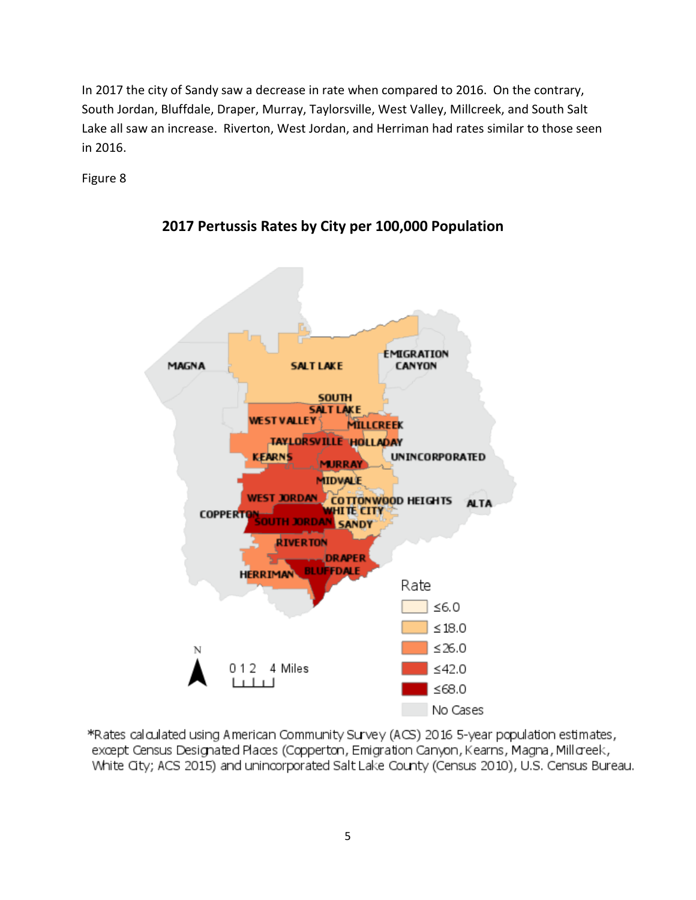In 2017 the city of Sandy saw a decrease in rate when compared to 2016. On the contrary, South Jordan, Bluffdale, Draper, Murray, Taylorsville, West Valley, Millcreek, and South Salt Lake all saw an increase. Riverton, West Jordan, and Herriman had rates similar to those seen in 2016.

Figure 8



**2017 Pertussis Rates by City per 100,000 Population**

\*Rates calculated using American Community Survey (ACS) 2016 5-year population estimates, except Census Designated Places (Copperton, Emigration Canyon, Kearns, Magna, Millcreek, White City; ACS 2015) and unincorporated Salt Lake County (Census 2010), U.S. Census Bureau.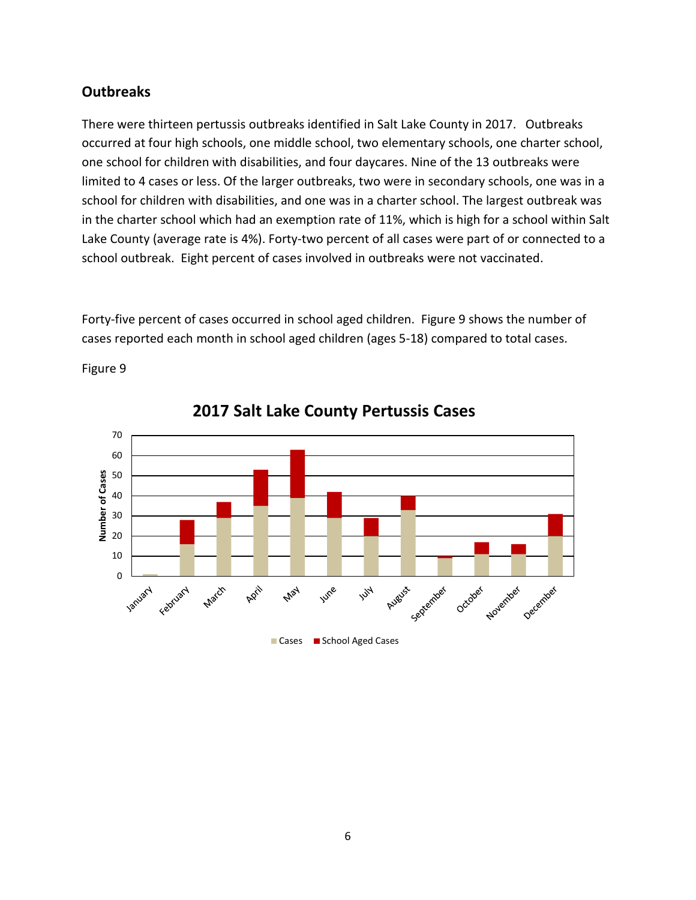## **Outbreaks**

There were thirteen pertussis outbreaks identified in Salt Lake County in 2017. Outbreaks occurred at four high schools, one middle school, two elementary schools, one charter school, one school for children with disabilities, and four daycares. Nine of the 13 outbreaks were limited to 4 cases or less. Of the larger outbreaks, two were in secondary schools, one was in a school for children with disabilities, and one was in a charter school. The largest outbreak was in the charter school which had an exemption rate of 11%, which is high for a school within Salt Lake County (average rate is 4%). Forty-two percent of all cases were part of or connected to a school outbreak. Eight percent of cases involved in outbreaks were not vaccinated.

Forty-five percent of cases occurred in school aged children. Figure 9 shows the number of cases reported each month in school aged children (ages 5-18) compared to total cases.





**2017 Salt Lake County Pertussis Cases**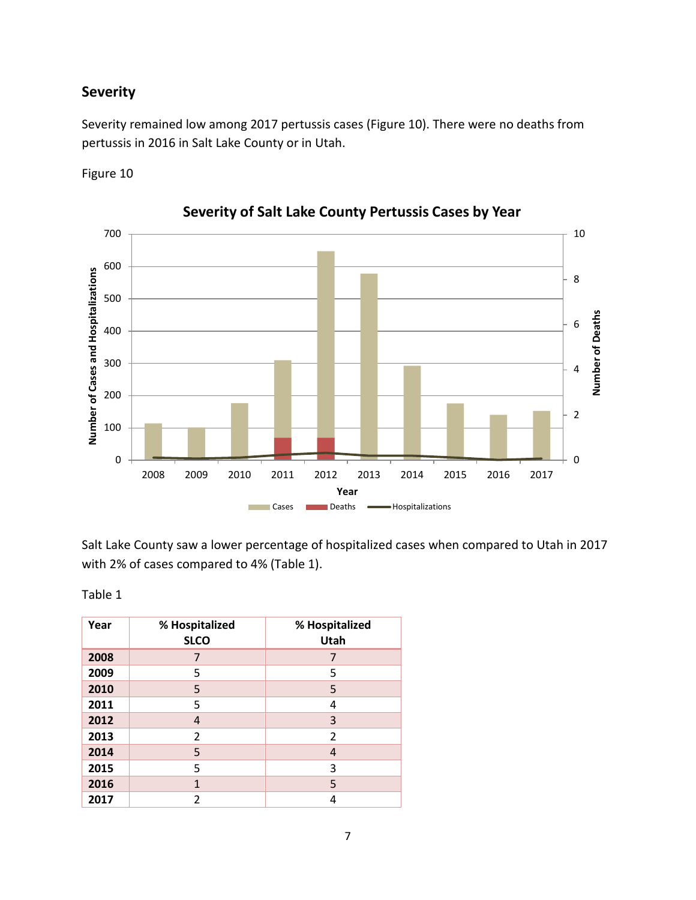## **Severity**

Severity remained low among 2017 pertussis cases (Figure 10). There were no deaths from pertussis in 2016 in Salt Lake County or in Utah.

Figure 10



**Severity of Salt Lake County Pertussis Cases by Year**

Salt Lake County saw a lower percentage of hospitalized cases when compared to Utah in 2017 with 2% of cases compared to 4% (Table 1).

Table 1

| Year | % Hospitalized<br><b>SLCO</b> | % Hospitalized<br>Utah |
|------|-------------------------------|------------------------|
| 2008 | 7                             |                        |
| 2009 | 5                             | 5                      |
| 2010 | 5                             | 5                      |
| 2011 | 5                             | 4                      |
| 2012 | 4                             | 3                      |
| 2013 | 2                             | 2                      |
| 2014 | 5                             | 4                      |
| 2015 | 5                             | 3                      |
| 2016 | $\mathbf{1}$                  | 5                      |
| 2017 | 2                             | 4                      |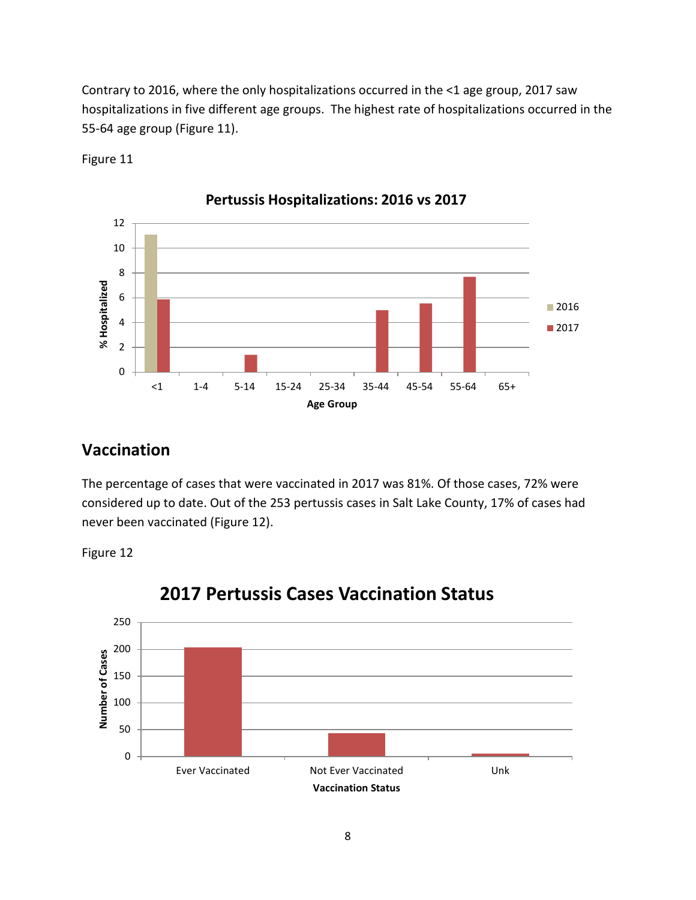Contrary to 2016, where the only hospitalizations occurred in the <1 age group, 2017 saw hospitalizations in five different age groups. The highest rate of hospitalizations occurred in the 55-64 age group (Figure 11).



Figure 11

## **Vaccination**

The percentage of cases that were vaccinated in 2017 was 81%. Of those cases, 72% were considered up to date. Out of the 253 pertussis cases in Salt Lake County, 17% of cases had never been vaccinated (Figure 12).

Figure 12



# **2017 Pertussis Cases Vaccination Status**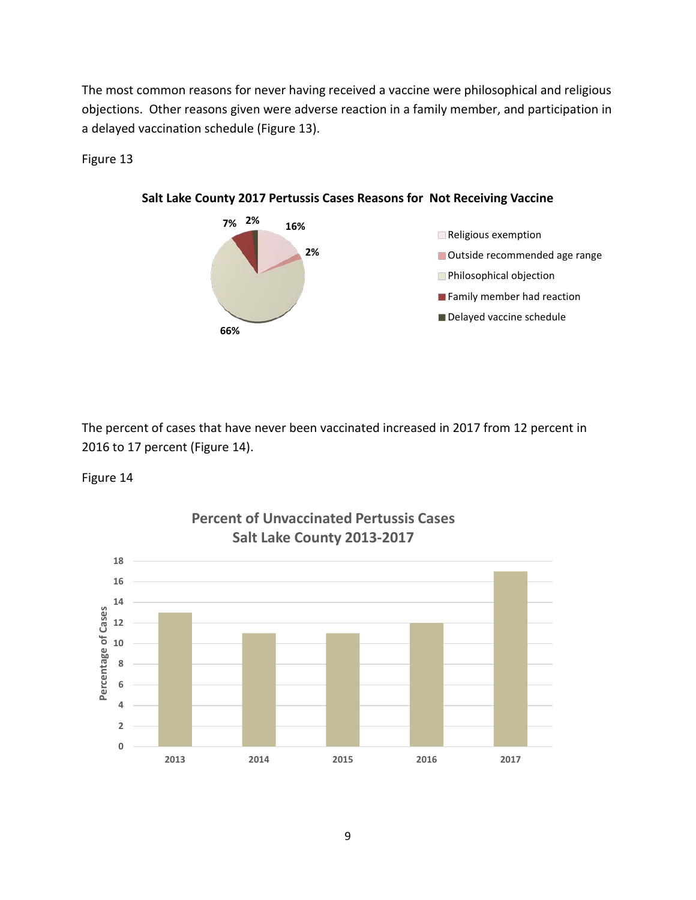The most common reasons for never having received a vaccine were philosophical and religious objections. Other reasons given were adverse reaction in a family member, and participation in a delayed vaccination schedule (Figure 13).

Figure 13



**Salt Lake County 2017 Pertussis Cases Reasons for Not Receiving Vaccine**

The percent of cases that have never been vaccinated increased in 2017 from 12 percent in 2016 to 17 percent (Figure 14).

Figure 14